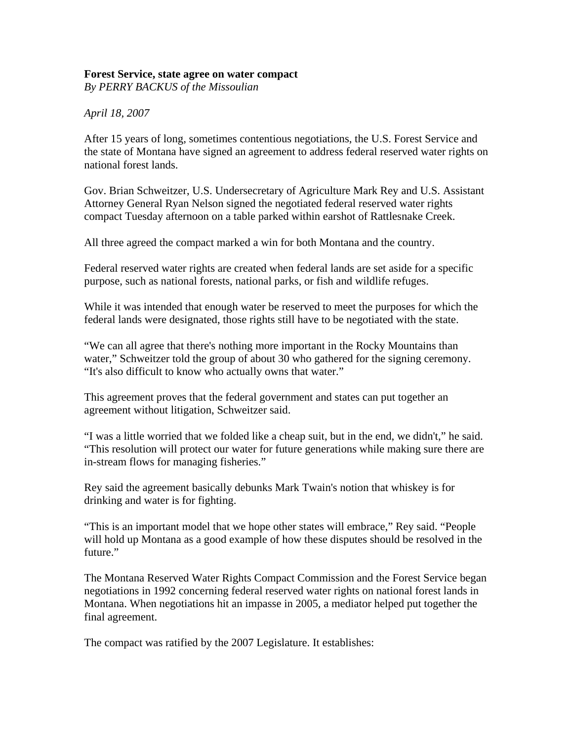## **Forest Service, state agree on water compact**

*By PERRY BACKUS of the Missoulian* 

*April 18, 2007*

After 15 years of long, sometimes contentious negotiations, the U.S. Forest Service and the state of Montana have signed an agreement to address federal reserved water rights on national forest lands.

Gov. Brian Schweitzer, U.S. Undersecretary of Agriculture Mark Rey and U.S. Assistant Attorney General Ryan Nelson signed the negotiated federal reserved water rights compact Tuesday afternoon on a table parked within earshot of Rattlesnake Creek.

All three agreed the compact marked a win for both Montana and the country.

Federal reserved water rights are created when federal lands are set aside for a specific purpose, such as national forests, national parks, or fish and wildlife refuges.

While it was intended that enough water be reserved to meet the purposes for which the federal lands were designated, those rights still have to be negotiated with the state.

"We can all agree that there's nothing more important in the Rocky Mountains than water," Schweitzer told the group of about 30 who gathered for the signing ceremony. "It's also difficult to know who actually owns that water."

This agreement proves that the federal government and states can put together an agreement without litigation, Schweitzer said.

"I was a little worried that we folded like a cheap suit, but in the end, we didn't," he said. "This resolution will protect our water for future generations while making sure there are in-stream flows for managing fisheries."

Rey said the agreement basically debunks Mark Twain's notion that whiskey is for drinking and water is for fighting.

"This is an important model that we hope other states will embrace," Rey said. "People will hold up Montana as a good example of how these disputes should be resolved in the future."

The Montana Reserved Water Rights Compact Commission and the Forest Service began negotiations in 1992 concerning federal reserved water rights on national forest lands in Montana. When negotiations hit an impasse in 2005, a mediator helped put together the final agreement.

The compact was ratified by the 2007 Legislature. It establishes: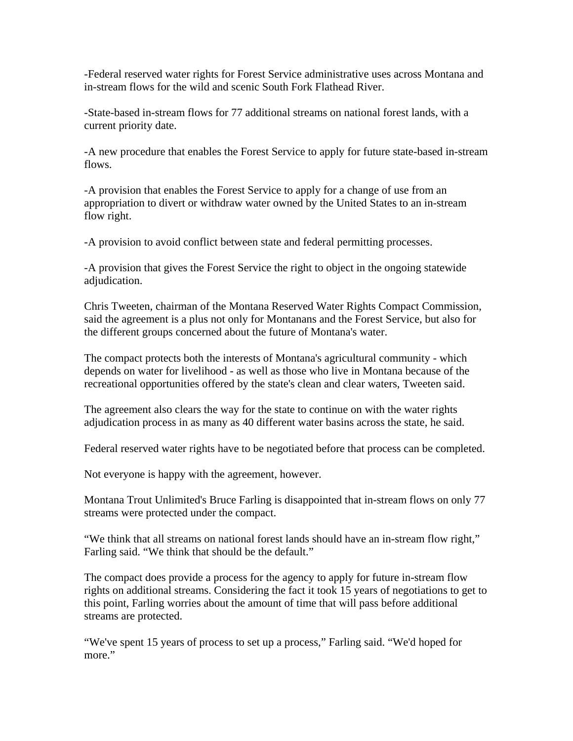-Federal reserved water rights for Forest Service administrative uses across Montana and in-stream flows for the wild and scenic South Fork Flathead River.

-State-based in-stream flows for 77 additional streams on national forest lands, with a current priority date.

-A new procedure that enables the Forest Service to apply for future state-based in-stream flows.

-A provision that enables the Forest Service to apply for a change of use from an appropriation to divert or withdraw water owned by the United States to an in-stream flow right.

-A provision to avoid conflict between state and federal permitting processes.

-A provision that gives the Forest Service the right to object in the ongoing statewide adjudication.

Chris Tweeten, chairman of the Montana Reserved Water Rights Compact Commission, said the agreement is a plus not only for Montanans and the Forest Service, but also for the different groups concerned about the future of Montana's water.

The compact protects both the interests of Montana's agricultural community - which depends on water for livelihood - as well as those who live in Montana because of the recreational opportunities offered by the state's clean and clear waters, Tweeten said.

The agreement also clears the way for the state to continue on with the water rights adjudication process in as many as 40 different water basins across the state, he said.

Federal reserved water rights have to be negotiated before that process can be completed.

Not everyone is happy with the agreement, however.

Montana Trout Unlimited's Bruce Farling is disappointed that in-stream flows on only 77 streams were protected under the compact.

"We think that all streams on national forest lands should have an in-stream flow right," Farling said. "We think that should be the default."

The compact does provide a process for the agency to apply for future in-stream flow rights on additional streams. Considering the fact it took 15 years of negotiations to get to this point, Farling worries about the amount of time that will pass before additional streams are protected.

"We've spent 15 years of process to set up a process," Farling said. "We'd hoped for more."